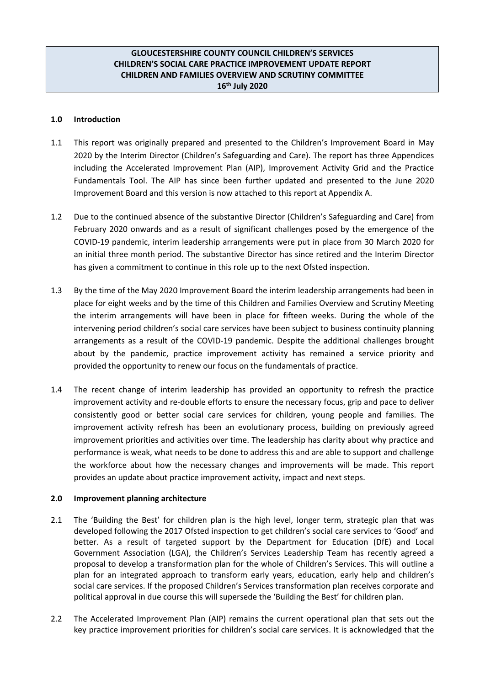## **GLOUCESTERSHIRE COUNTY COUNCIL CHILDREN'S SERVICES CHILDREN'S SOCIAL CARE PRACTICE IMPROVEMENT UPDATE REPORT CHILDREN AND FAMILIES OVERVIEW AND SCRUTINY COMMITTEE 16th July 2020**

## **1.0 Introduction**

- 1.1 This report was originally prepared and presented to the Children's Improvement Board in May 2020 by the Interim Director (Children's Safeguarding and Care). The report has three Appendices including the Accelerated Improvement Plan (AIP), Improvement Activity Grid and the Practice Fundamentals Tool. The AIP has since been further updated and presented to the June 2020 Improvement Board and this version is now attached to this report at Appendix A.
- 1.2 Due to the continued absence of the substantive Director (Children's Safeguarding and Care) from February 2020 onwards and as a result of significant challenges posed by the emergence of the COVID-19 pandemic, interim leadership arrangements were put in place from 30 March 2020 for an initial three month period. The substantive Director has since retired and the Interim Director has given a commitment to continue in this role up to the next Ofsted inspection.
- 1.3 By the time of the May 2020 Improvement Board the interim leadership arrangements had been in place for eight weeks and by the time of this Children and Families Overview and Scrutiny Meeting the interim arrangements will have been in place for fifteen weeks. During the whole of the intervening period children's social care services have been subject to business continuity planning arrangements as a result of the COVID-19 pandemic. Despite the additional challenges brought about by the pandemic, practice improvement activity has remained a service priority and provided the opportunity to renew our focus on the fundamentals of practice.
- 1.4 The recent change of interim leadership has provided an opportunity to refresh the practice improvement activity and re-double efforts to ensure the necessary focus, grip and pace to deliver consistently good or better social care services for children, young people and families. The improvement activity refresh has been an evolutionary process, building on previously agreed improvement priorities and activities over time. The leadership has clarity about why practice and performance is weak, what needs to be done to address this and are able to support and challenge the workforce about how the necessary changes and improvements will be made. This report provides an update about practice improvement activity, impact and next steps.

## **2.0 Improvement planning architecture**

- 2.1 The 'Building the Best' for children plan is the high level, longer term, strategic plan that was developed following the 2017 Ofsted inspection to get children's social care services to 'Good' and better. As a result of targeted support by the Department for Education (DfE) and Local Government Association (LGA), the Children's Services Leadership Team has recently agreed a proposal to develop a transformation plan for the whole of Children's Services. This will outline a plan for an integrated approach to transform early years, education, early help and children's social care services. If the proposed Children's Services transformation plan receives corporate and political approval in due course this will supersede the 'Building the Best' for children plan.
- 2.2 The Accelerated Improvement Plan (AIP) remains the current operational plan that sets out the key practice improvement priorities for children's social care services. It is acknowledged that the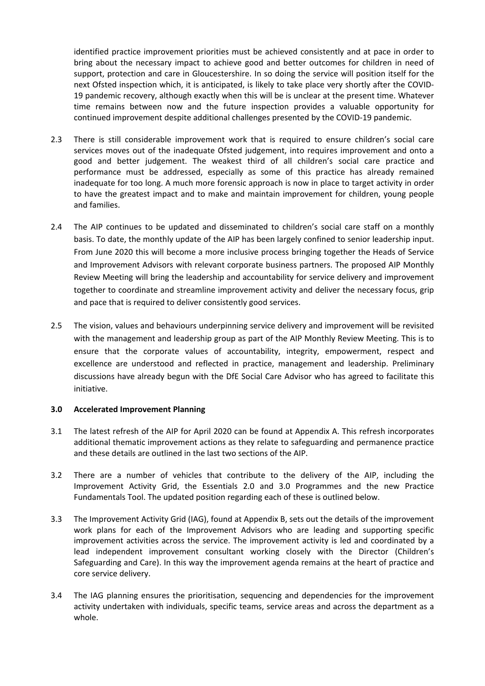identified practice improvement priorities must be achieved consistently and at pace in order to bring about the necessary impact to achieve good and better outcomes for children in need of support, protection and care in Gloucestershire. In so doing the service will position itself for the next Ofsted inspection which, it is anticipated, is likely to take place very shortly after the COVID-19 pandemic recovery, although exactly when this will be is unclear at the present time. Whatever time remains between now and the future inspection provides a valuable opportunity for continued improvement despite additional challenges presented by the COVID-19 pandemic.

- 2.3 There is still considerable improvement work that is required to ensure children's social care services moves out of the inadequate Ofsted judgement, into requires improvement and onto a good and better judgement. The weakest third of all children's social care practice and performance must be addressed, especially as some of this practice has already remained inadequate for too long. A much more forensic approach is now in place to target activity in order to have the greatest impact and to make and maintain improvement for children, young people and families.
- 2.4 The AIP continues to be updated and disseminated to children's social care staff on a monthly basis. To date, the monthly update of the AIP has been largely confined to senior leadership input. From June 2020 this will become a more inclusive process bringing together the Heads of Service and Improvement Advisors with relevant corporate business partners. The proposed AIP Monthly Review Meeting will bring the leadership and accountability for service delivery and improvement together to coordinate and streamline improvement activity and deliver the necessary focus, grip and pace that is required to deliver consistently good services.
- 2.5 The vision, values and behaviours underpinning service delivery and improvement will be revisited with the management and leadership group as part of the AIP Monthly Review Meeting. This is to ensure that the corporate values of accountability, integrity, empowerment, respect and excellence are understood and reflected in practice, management and leadership. Preliminary discussions have already begun with the DfE Social Care Advisor who has agreed to facilitate this initiative.

### **3.0 Accelerated Improvement Planning**

- 3.1 The latest refresh of the AIP for April 2020 can be found at Appendix A. This refresh incorporates additional thematic improvement actions as they relate to safeguarding and permanence practice and these details are outlined in the last two sections of the AIP.
- 3.2 There are a number of vehicles that contribute to the delivery of the AIP, including the Improvement Activity Grid, the Essentials 2.0 and 3.0 Programmes and the new Practice Fundamentals Tool. The updated position regarding each of these is outlined below.
- 3.3 The Improvement Activity Grid (IAG), found at Appendix B, sets out the details of the improvement work plans for each of the Improvement Advisors who are leading and supporting specific improvement activities across the service. The improvement activity is led and coordinated by a lead independent improvement consultant working closely with the Director (Children's Safeguarding and Care). In this way the improvement agenda remains at the heart of practice and core service delivery.
- 3.4 The IAG planning ensures the prioritisation, sequencing and dependencies for the improvement activity undertaken with individuals, specific teams, service areas and across the department as a whole.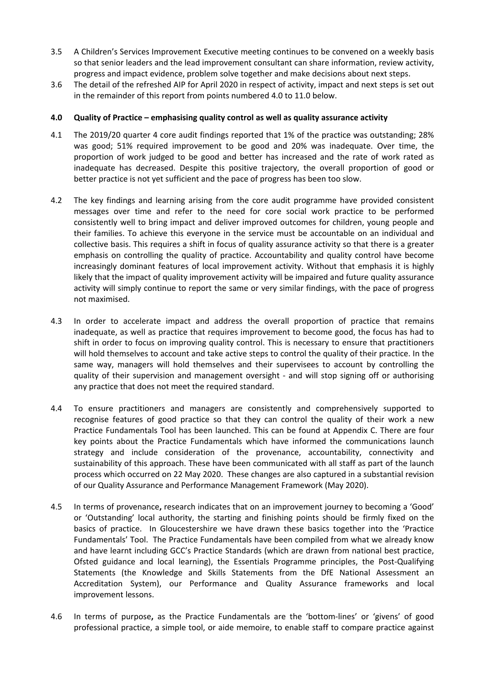- 3.5 A Children's Services Improvement Executive meeting continues to be convened on a weekly basis so that senior leaders and the lead improvement consultant can share information, review activity, progress and impact evidence, problem solve together and make decisions about next steps.
- 3.6 The detail of the refreshed AIP for April 2020 in respect of activity, impact and next steps is set out in the remainder of this report from points numbered 4.0 to 11.0 below.

### **4.0 Quality of Practice – emphasising quality control as well as quality assurance activity**

- 4.1 The 2019/20 quarter 4 core audit findings reported that 1% of the practice was outstanding; 28% was good; 51% required improvement to be good and 20% was inadequate. Over time, the proportion of work judged to be good and better has increased and the rate of work rated as inadequate has decreased. Despite this positive trajectory, the overall proportion of good or better practice is not yet sufficient and the pace of progress has been too slow.
- 4.2 The key findings and learning arising from the core audit programme have provided consistent messages over time and refer to the need for core social work practice to be performed consistently well to bring impact and deliver improved outcomes for children, young people and their families. To achieve this everyone in the service must be accountable on an individual and collective basis. This requires a shift in focus of quality assurance activity so that there is a greater emphasis on controlling the quality of practice. Accountability and quality control have become increasingly dominant features of local improvement activity. Without that emphasis it is highly likely that the impact of quality improvement activity will be impaired and future quality assurance activity will simply continue to report the same or very similar findings, with the pace of progress not maximised.
- 4.3 In order to accelerate impact and address the overall proportion of practice that remains inadequate, as well as practice that requires improvement to become good, the focus has had to shift in order to focus on improving quality control. This is necessary to ensure that practitioners will hold themselves to account and take active steps to control the quality of their practice. In the same way, managers will hold themselves and their supervisees to account by controlling the quality of their supervision and management oversight - and will stop signing off or authorising any practice that does not meet the required standard.
- 4.4 To ensure practitioners and managers are consistently and comprehensively supported to recognise features of good practice so that they can control the quality of their work a new Practice Fundamentals Tool has been launched. This can be found at Appendix C. There are four key points about the Practice Fundamentals which have informed the communications launch strategy and include consideration of the provenance, accountability, connectivity and sustainability of this approach. These have been communicated with all staff as part of the launch process which occurred on 22 May 2020. These changes are also captured in a substantial revision of our Quality Assurance and Performance Management Framework (May 2020).
- 4.5 In terms of provenance**,** research indicates that on an improvement journey to becoming a 'Good' or 'Outstanding' local authority, the starting and finishing points should be firmly fixed on the basics of practice. In Gloucestershire we have drawn these basics together into the 'Practice Fundamentals' Tool. The Practice Fundamentals have been compiled from what we already know and have learnt including GCC's Practice Standards (which are drawn from national best practice, Ofsted guidance and local learning), the Essentials Programme principles, the Post-Qualifying Statements (the Knowledge and Skills Statements from the DfE National Assessment an Accreditation System), our Performance and Quality Assurance frameworks and local improvement lessons.
- 4.6 In terms of purpose**,** as the Practice Fundamentals are the 'bottom-lines' or 'givens' of good professional practice, a simple tool, or aide memoire, to enable staff to compare practice against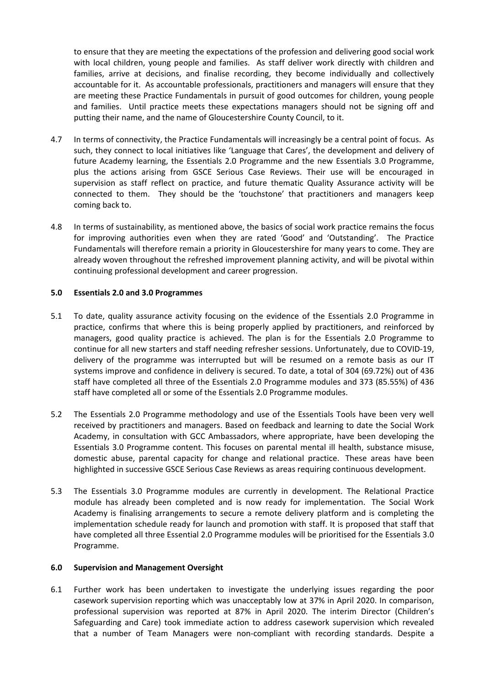to ensure that they are meeting the expectations of the profession and delivering good social work with local children, young people and families. As staff deliver work directly with children and families, arrive at decisions, and finalise recording, they become individually and collectively accountable for it. As accountable professionals, practitioners and managers will ensure that they are meeting these Practice Fundamentals in pursuit of good outcomes for children, young people and families. Until practice meets these expectations managers should not be signing off and putting their name, and the name of Gloucestershire County Council, to it.

- 4.7 In terms of connectivity, the Practice Fundamentals will increasingly be a central point of focus. As such, they connect to local initiatives like 'Language that Cares', the development and delivery of future Academy learning, the Essentials 2.0 Programme and the new Essentials 3.0 Programme, plus the actions arising from GSCE Serious Case Reviews. Their use will be encouraged in supervision as staff reflect on practice, and future thematic Quality Assurance activity will be connected to them. They should be the 'touchstone' that practitioners and managers keep coming back to.
- 4.8 In terms of sustainability, as mentioned above, the basics of social work practice remains the focus for improving authorities even when they are rated 'Good' and 'Outstanding'. The Practice Fundamentals will therefore remain a priority in Gloucestershire for many years to come. They are already woven throughout the refreshed improvement planning activity, and will be pivotal within continuing professional development and career progression.

### **5.0 Essentials 2.0 and 3.0 Programmes**

- 5.1 To date, quality assurance activity focusing on the evidence of the Essentials 2.0 Programme in practice, confirms that where this is being properly applied by practitioners, and reinforced by managers, good quality practice is achieved. The plan is for the Essentials 2.0 Programme to continue for all new starters and staff needing refresher sessions. Unfortunately, due to COVID-19, delivery of the programme was interrupted but will be resumed on a remote basis as our IT systems improve and confidence in delivery is secured. To date, a total of 304 (69.72%) out of 436 staff have completed all three of the Essentials 2.0 Programme modules and 373 (85.55%) of 436 staff have completed all or some of the Essentials 2.0 Programme modules.
- 5.2 The Essentials 2.0 Programme methodology and use of the Essentials Tools have been very well received by practitioners and managers. Based on feedback and learning to date the Social Work Academy, in consultation with GCC Ambassadors, where appropriate, have been developing the Essentials 3.0 Programme content. This focuses on parental mental ill health, substance misuse, domestic abuse, parental capacity for change and relational practice. These areas have been highlighted in successive GSCE Serious Case Reviews as areas requiring continuous development.
- 5.3 The Essentials 3.0 Programme modules are currently in development. The Relational Practice module has already been completed and is now ready for implementation. The Social Work Academy is finalising arrangements to secure a remote delivery platform and is completing the implementation schedule ready for launch and promotion with staff. It is proposed that staff that have completed all three Essential 2.0 Programme modules will be prioritised for the Essentials 3.0 Programme.

### **6.0 Supervision and Management Oversight**

6.1 Further work has been undertaken to investigate the underlying issues regarding the poor casework supervision reporting which was unacceptably low at 37% in April 2020. In comparison, professional supervision was reported at 87% in April 2020. The interim Director (Children's Safeguarding and Care) took immediate action to address casework supervision which revealed that a number of Team Managers were non-compliant with recording standards. Despite a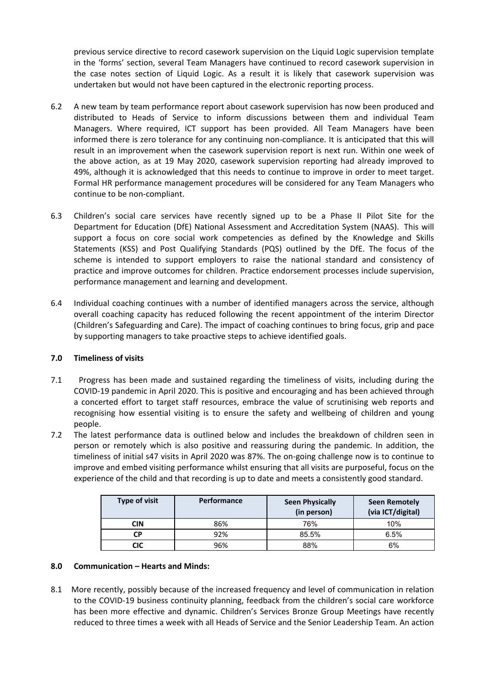previous service directive to record casework supervision on the Liquid Logic supervision template in the 'forms' section, several Team Managers have continued to record casework supervision in the case notes section of Liquid Logic. As a result it is likely that casework supervision was undertaken but would not have been captured in the electronic reporting process.

- 6.2 A new team by team performance report about casework supervision has now been produced and distributed to Heads of Service to inform discussions between them and individual Team Managers. Where required, ICT support has been provided. All Team Managers have been informed there is zero tolerance for any continuing non-compliance. It is anticipated that this will result in an improvement when the casework supervision report is next run. Within one week of the above action, as at 19 May 2020, casework supervision reporting had already improved to 49%, although it is acknowledged that this needs to continue to improve in order to meet target. Formal HR performance management procedures will be considered for any Team Managers who continue to be non-compliant.
- 6.3 Children's social care services have recently signed up to be a Phase II Pilot Site for the Department for Education (DfE) National Assessment and Accreditation System (NAAS). This will support a focus on core social work competencies as defined by the Knowledge and Skills Statements (KSS) and Post Qualifying Standards (PQS) outlined by the DfE. The focus of the scheme is intended to support employers to raise the national standard and consistency of practice and improve outcomes for children. Practice endorsement processes include supervision, performance management and learning and development.
- 6.4 Individual coaching continues with a number of identified managers across the service, although overall coaching capacity has reduced following the recent appointment of the interim Director (Children's Safeguarding and Care). The impact of coaching continues to bring focus, grip and pace by supporting managers to take proactive steps to achieve identified goals.

## **7.0 Timeliness of visits**

- 7.1 Progress has been made and sustained regarding the timeliness of visits, including during the COVID-19 pandemic in April 2020. This is positive and encouraging and has been achieved through a concerted effort to target staff resources, embrace the value of scrutinising web reports and recognising how essential visiting is to ensure the safety and wellbeing of children and young people.
- 7.2 The latest performance data is outlined below and includes the breakdown of children seen in person or remotely which is also positive and reassuring during the pandemic. In addition, the timeliness of initial s47 visits in April 2020 was 87%. The on-going challenge now is to continue to improve and embed visiting performance whilst ensuring that all visits are purposeful, focus on the experience of the child and that recording is up to date and meets a consistently good standard.

| <b>Type of visit</b> | Performance | <b>Seen Physically</b><br>(in person) | Seen Remotely<br>(via ICT/digital) |
|----------------------|-------------|---------------------------------------|------------------------------------|
| CIN                  | 86%         | 76%                                   | 10%                                |
| <b>CP</b>            | 92%         | 85.5%                                 | 6.5%                               |
| CIC                  | 96%         | 88%                                   | 6%                                 |

## **8.0 Communication – Hearts and Minds:**

8.1 More recently, possibly because of the increased frequency and level of communication in relation to the COVID-19 business continuity planning, feedback from the children's social care workforce has been more effective and dynamic. Children's Services Bronze Group Meetings have recently reduced to three times a week with all Heads of Service and the Senior Leadership Team. An action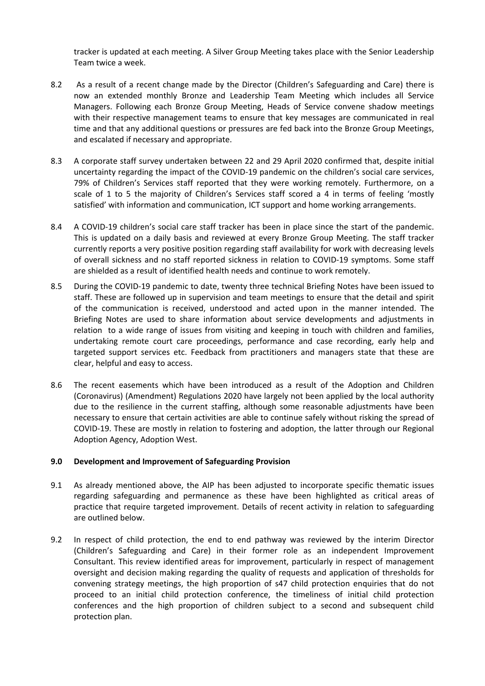tracker is updated at each meeting. A Silver Group Meeting takes place with the Senior Leadership Team twice a week.

- 8.2 As a result of a recent change made by the Director (Children's Safeguarding and Care) there is now an extended monthly Bronze and Leadership Team Meeting which includes all Service Managers. Following each Bronze Group Meeting, Heads of Service convene shadow meetings with their respective management teams to ensure that key messages are communicated in real time and that any additional questions or pressures are fed back into the Bronze Group Meetings, and escalated if necessary and appropriate.
- 8.3 A corporate staff survey undertaken between 22 and 29 April 2020 confirmed that, despite initial uncertainty regarding the impact of the COVID-19 pandemic on the children's social care services, 79% of Children's Services staff reported that they were working remotely. Furthermore, on a scale of 1 to 5 the majority of Children's Services staff scored a 4 in terms of feeling 'mostly satisfied' with information and communication, ICT support and home working arrangements.
- 8.4 A COVID-19 children's social care staff tracker has been in place since the start of the pandemic. This is updated on a daily basis and reviewed at every Bronze Group Meeting. The staff tracker currently reports a very positive position regarding staff availability for work with decreasing levels of overall sickness and no staff reported sickness in relation to COVID-19 symptoms. Some staff are shielded as a result of identified health needs and continue to work remotely.
- 8.5 During the COVID-19 pandemic to date, twenty three technical Briefing Notes have been issued to staff. These are followed up in supervision and team meetings to ensure that the detail and spirit of the communication is received, understood and acted upon in the manner intended. The Briefing Notes are used to share information about service developments and adjustments in relation to a wide range of issues from visiting and keeping in touch with children and families, undertaking remote court care proceedings, performance and case recording, early help and targeted support services etc. Feedback from practitioners and managers state that these are clear, helpful and easy to access.
- 8.6 The recent easements which have been introduced as a result of the Adoption and Children (Coronavirus) (Amendment) Regulations 2020 have largely not been applied by the local authority due to the resilience in the current staffing, although some reasonable adjustments have been necessary to ensure that certain activities are able to continue safely without risking the spread of COVID-19. These are mostly in relation to fostering and adoption, the latter through our Regional Adoption Agency, Adoption West.

### **9.0 Development and Improvement of Safeguarding Provision**

- 9.1 As already mentioned above, the AIP has been adjusted to incorporate specific thematic issues regarding safeguarding and permanence as these have been highlighted as critical areas of practice that require targeted improvement. Details of recent activity in relation to safeguarding are outlined below.
- 9.2 In respect of child protection, the end to end pathway was reviewed by the interim Director (Children's Safeguarding and Care) in their former role as an independent Improvement Consultant. This review identified areas for improvement, particularly in respect of management oversight and decision making regarding the quality of requests and application of thresholds for convening strategy meetings, the high proportion of s47 child protection enquiries that do not proceed to an initial child protection conference, the timeliness of initial child protection conferences and the high proportion of children subject to a second and subsequent child protection plan.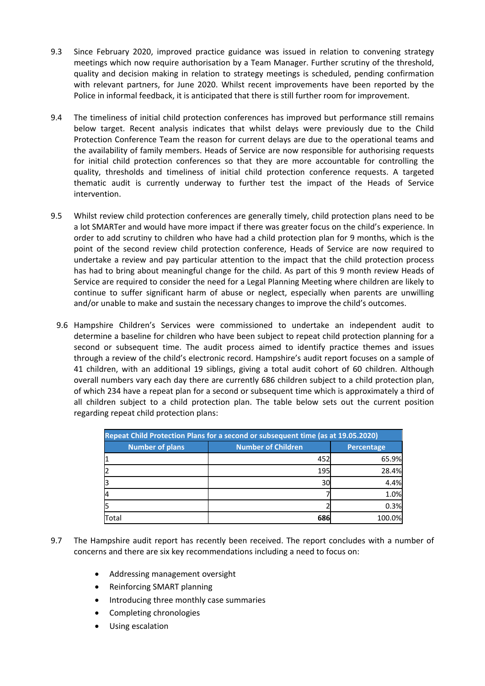- 9.3 Since February 2020, improved practice guidance was issued in relation to convening strategy meetings which now require authorisation by a Team Manager. Further scrutiny of the threshold, quality and decision making in relation to strategy meetings is scheduled, pending confirmation with relevant partners, for June 2020. Whilst recent improvements have been reported by the Police in informal feedback, it is anticipated that there is still further room for improvement.
- 9.4 The timeliness of initial child protection conferences has improved but performance still remains below target. Recent analysis indicates that whilst delays were previously due to the Child Protection Conference Team the reason for current delays are due to the operational teams and the availability of family members. Heads of Service are now responsible for authorising requests for initial child protection conferences so that they are more accountable for controlling the quality, thresholds and timeliness of initial child protection conference requests. A targeted thematic audit is currently underway to further test the impact of the Heads of Service intervention.
- 9.5 Whilst review child protection conferences are generally timely, child protection plans need to be a lot SMARTer and would have more impact if there was greater focus on the child's experience. In order to add scrutiny to children who have had a child protection plan for 9 months, which is the point of the second review child protection conference, Heads of Service are now required to undertake a review and pay particular attention to the impact that the child protection process has had to bring about meaningful change for the child. As part of this 9 month review Heads of Service are required to consider the need for a Legal Planning Meeting where children are likely to continue to suffer significant harm of abuse or neglect, especially when parents are unwilling and/or unable to make and sustain the necessary changes to improve the child's outcomes.
	- 9.6 Hampshire Children's Services were commissioned to undertake an independent audit to determine a baseline for children who have been subject to repeat child protection planning for a second or subsequent time. The audit process aimed to identify practice themes and issues through a review of the child's electronic record. Hampshire's audit report focuses on a sample of 41 children, with an additional 19 siblings, giving a total audit cohort of 60 children. Although overall numbers vary each day there are currently 686 children subject to a child protection plan, of which 234 have a repeat plan for a second or subsequent time which is approximately a third of all children subject to a child protection plan. The table below sets out the current position regarding repeat child protection plans:

| Repeat Child Protection Plans for a second or subsequent time (as at 19.05.2020) |                           |            |  |  |  |  |
|----------------------------------------------------------------------------------|---------------------------|------------|--|--|--|--|
| <b>Number of plans</b>                                                           | <b>Number of Children</b> | Percentage |  |  |  |  |
|                                                                                  | 452                       | 65.9%      |  |  |  |  |
| 12                                                                               | 195                       | 28.4%      |  |  |  |  |
| l3                                                                               | 30                        | 4.4%       |  |  |  |  |
| l4                                                                               |                           | 1.0%       |  |  |  |  |
| l5                                                                               |                           | 0.3%       |  |  |  |  |
| Total                                                                            | 686                       | 100.0%     |  |  |  |  |

- 9.7 The Hampshire audit report has recently been received. The report concludes with a number of concerns and there are six key recommendations including a need to focus on:
	- Addressing management oversight
	- Reinforcing SMART planning
	- Introducing three monthly case summaries
	- Completing chronologies
	- Using escalation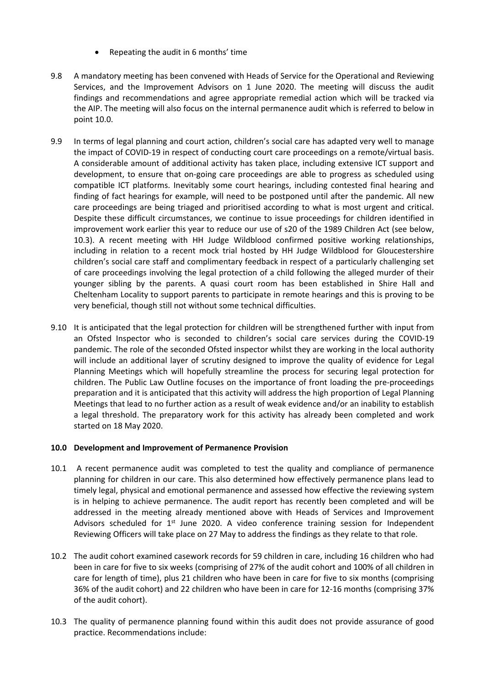- Repeating the audit in 6 months' time
- 9.8 A mandatory meeting has been convened with Heads of Service for the Operational and Reviewing Services, and the Improvement Advisors on 1 June 2020. The meeting will discuss the audit findings and recommendations and agree appropriate remedial action which will be tracked via the AIP. The meeting will also focus on the internal permanence audit which is referred to below in point 10.0.
- 9.9 In terms of legal planning and court action, children's social care has adapted very well to manage the impact of COVID-19 in respect of conducting court care proceedings on a remote/virtual basis. A considerable amount of additional activity has taken place, including extensive ICT support and development, to ensure that on-going care proceedings are able to progress as scheduled using compatible ICT platforms. Inevitably some court hearings, including contested final hearing and finding of fact hearings for example, will need to be postponed until after the pandemic. All new care proceedings are being triaged and prioritised according to what is most urgent and critical. Despite these difficult circumstances, we continue to issue proceedings for children identified in improvement work earlier this year to reduce our use of s20 of the 1989 Children Act (see below, 10.3). A recent meeting with HH Judge Wildblood confirmed positive working relationships, including in relation to a recent mock trial hosted by HH Judge Wildblood for Gloucestershire children's social care staff and complimentary feedback in respect of a particularly challenging set of care proceedings involving the legal protection of a child following the alleged murder of their younger sibling by the parents. A quasi court room has been established in Shire Hall and Cheltenham Locality to support parents to participate in remote hearings and this is proving to be very beneficial, though still not without some technical difficulties.
- 9.10 It is anticipated that the legal protection for children will be strengthened further with input from an Ofsted Inspector who is seconded to children's social care services during the COVID-19 pandemic. The role of the seconded Ofsted inspector whilst they are working in the local authority will include an additional layer of scrutiny designed to improve the quality of evidence for Legal Planning Meetings which will hopefully streamline the process for securing legal protection for children. The Public Law Outline focuses on the importance of front loading the pre-proceedings preparation and it is anticipated that this activity will address the high proportion of Legal Planning Meetings that lead to no further action as a result of weak evidence and/or an inability to establish a legal threshold. The preparatory work for this activity has already been completed and work started on 18 May 2020.

### **10.0 Development and Improvement of Permanence Provision**

- 10.1 A recent permanence audit was completed to test the quality and compliance of permanence planning for children in our care. This also determined how effectively permanence plans lead to timely legal, physical and emotional permanence and assessed how effective the reviewing system is in helping to achieve permanence. The audit report has recently been completed and will be addressed in the meeting already mentioned above with Heads of Services and Improvement Advisors scheduled for 1<sup>st</sup> June 2020. A video conference training session for Independent Reviewing Officers will take place on 27 May to address the findings as they relate to that role.
- 10.2 The audit cohort examined casework records for 59 children in care, including 16 children who had been in care for five to six weeks (comprising of 27% of the audit cohort and 100% of all children in care for length of time), plus 21 children who have been in care for five to six months (comprising 36% of the audit cohort) and 22 children who have been in care for 12-16 months (comprising 37% of the audit cohort).
- 10.3 The quality of permanence planning found within this audit does not provide assurance of good practice. Recommendations include: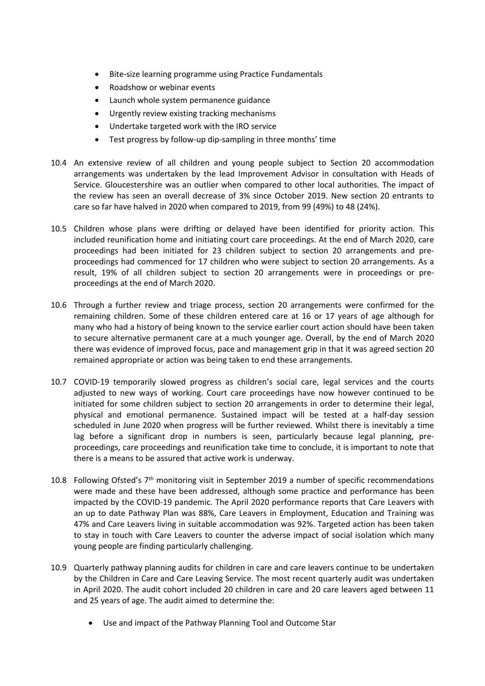- Bite-size learning programme using Practice Fundamentals
- Roadshow or webinar events
- Launch whole system permanence guidance
- Urgently review existing tracking mechanisms
- Undertake targeted work with the IRO service
- Test progress by follow-up dip-sampling in three months' time
- 10.4 An extensive review of all children and young people subject to Section 20 accommodation arrangements was undertaken by the lead Improvement Advisor in consultation with Heads of Service. Gloucestershire was an outlier when compared to other local authorities. The impact of the review has seen an overall decrease of 3% since October 2019. New section 20 entrants to care so far have halved in 2020 when compared to 2019, from 99 (49%) to 48 (24%).
- 10.5 Children whose plans were drifting or delayed have been identified for priority action. This included reunification home and initiating court care proceedings. At the end of March 2020, care proceedings had been initiated for 23 children subject to section 20 arrangements and preproceedings had commenced for 17 children who were subject to section 20 arrangements. As a result, 19% of all children subject to section 20 arrangements were in proceedings or preproceedings at the end of March 2020.
- 10.6 Through a further review and triage process, section 20 arrangements were confirmed for the remaining children. Some of these children entered care at 16 or 17 years of age although for many who had a history of being known to the service earlier court action should have been taken to secure alternative permanent care at a much younger age. Overall, by the end of March 2020 there was evidence of improved focus, pace and management grip in that it was agreed section 20 remained appropriate or action was being taken to end these arrangements.
- 10.7 COVID-19 temporarily slowed progress as children's social care, legal services and the courts adjusted to new ways of working. Court care proceedings have now however continued to be initiated for some children subject to section 20 arrangements in order to determine their legal, physical and emotional permanence. Sustained impact will be tested at a half-day session scheduled in June 2020 when progress will be further reviewed. Whilst there is inevitably a time lag before a significant drop in numbers is seen, particularly because legal planning, preproceedings, care proceedings and reunification take time to conclude, it is important to note that there is a means to be assured that active work is underway.
- 10.8 Following Ofsted's 7<sup>th</sup> monitoring visit in September 2019 a number of specific recommendations were made and these have been addressed, although some practice and performance has been impacted by the COVID-19 pandemic. The April 2020 performance reports that Care Leavers with an up to date Pathway Plan was 88%, Care Leavers in Employment, Education and Training was 47% and Care Leavers living in suitable accommodation was 92%. Targeted action has been taken to stay in touch with Care Leavers to counter the adverse impact of social isolation which many young people are finding particularly challenging.
- 10.9 Quarterly pathway planning audits for children in care and care leavers continue to be undertaken by the Children in Care and Care Leaving Service. The most recent quarterly audit was undertaken in April 2020. The audit cohort included 20 children in care and 20 care leavers aged between 11 and 25 years of age. The audit aimed to determine the:
	- Use and impact of the Pathway Planning Tool and Outcome Star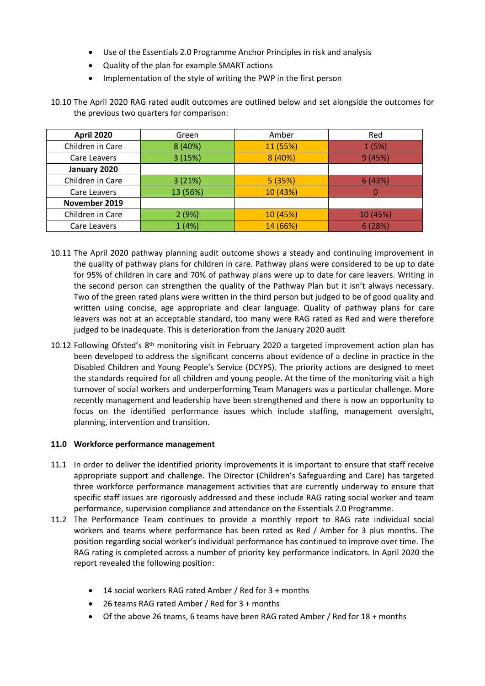- Use of the Essentials 2.0 Programme Anchor Principles in risk and analysis
- Quality of the plan for example SMART actions
- Implementation of the style of writing the PWP in the first person

10.10 The April 2020 RAG rated audit outcomes are outlined below and set alongside the outcomes for the previous two quarters for comparison:

| <b>April 2020</b>           | Green    | Amber    | Red      |
|-----------------------------|----------|----------|----------|
| Children in Care<br>8 (40%) |          | 11 (55%) | 1(5%)    |
| 3(15%)<br>Care Leavers      |          | 8 (40%)  | 9(45%)   |
| January 2020                |          |          |          |
| Children in Care            | 3(21%)   | 5(35%)   | 6(43%)   |
| Care Leavers                | 13 (56%) | 10 (43%) |          |
| November 2019               |          |          |          |
| Children in Care            | 2(9%)    |          | 10 (45%) |
| Care Leavers                | 1(4%)    | 14 (66%) | 6(28%)   |

- 10.11 The April 2020 pathway planning audit outcome shows a steady and continuing improvement in the quality of pathway plans for children in care. Pathway plans were considered to be up to date for 95% of children in care and 70% of pathway plans were up to date for care leavers. Writing in the second person can strengthen the quality of the Pathway Plan but it isn't always necessary. Two of the green rated plans were written in the third person but judged to be of good quality and written using concise, age appropriate and clear language. Quality of pathway plans for care leavers was not at an acceptable standard, too many were RAG rated as Red and were therefore judged to be inadequate. This is deterioration from the January 2020 audit
- 10.12 Following Ofsted's 8<sup>th</sup> monitoring visit in February 2020 a targeted improvement action plan has been developed to address the significant concerns about evidence of a decline in practice in the Disabled Children and Young People's Service (DCYPS). The priority actions are designed to meet the standards required for all children and young people. At the time of the monitoring visit a high turnover of social workers and underperforming Team Managers was a particular challenge. More recently management and leadership have been strengthened and there is now an opportunity to focus on the identified performance issues which include staffing, management oversight, planning, intervention and transition.

## **11.0 Workforce performance management**

- 11.1 In order to deliver the identified priority improvements it is important to ensure that staff receive appropriate support and challenge. The Director (Children's Safeguarding and Care) has targeted three workforce performance management activities that are currently underway to ensure that specific staff issues are rigorously addressed and these include RAG rating social worker and team performance, supervision compliance and attendance on the Essentials 2.0 Programme.
- 11.2 The Performance Team continues to provide a monthly report to RAG rate individual social workers and teams where performance has been rated as Red / Amber for 3 plus months. The position regarding social worker's individual performance has continued to improve over time. The RAG rating is completed across a number of priority key performance indicators. In April 2020 the report revealed the following position:
	- 14 social workers RAG rated Amber / Red for 3 + months
	- 26 teams RAG rated Amber / Red for 3 + months
	- Of the above 26 teams, 6 teams have been RAG rated Amber / Red for 18 + months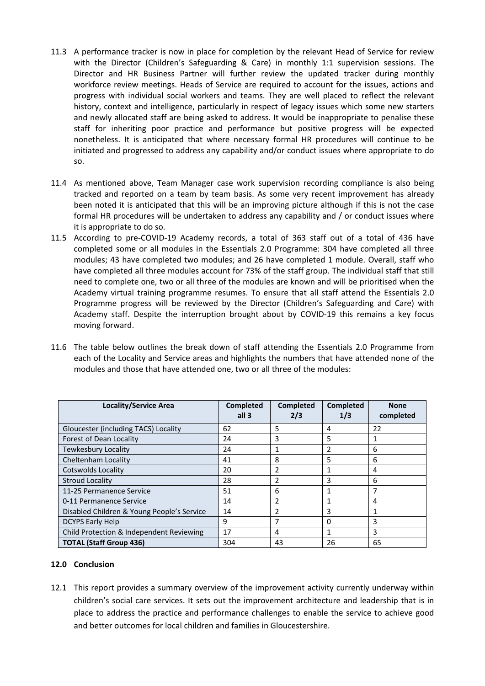- 11.3 A performance tracker is now in place for completion by the relevant Head of Service for review with the Director (Children's Safeguarding & Care) in monthly 1:1 supervision sessions. The Director and HR Business Partner will further review the updated tracker during monthly workforce review meetings. Heads of Service are required to account for the issues, actions and progress with individual social workers and teams. They are well placed to reflect the relevant history, context and intelligence, particularly in respect of legacy issues which some new starters and newly allocated staff are being asked to address. It would be inappropriate to penalise these staff for inheriting poor practice and performance but positive progress will be expected nonetheless. It is anticipated that where necessary formal HR procedures will continue to be initiated and progressed to address any capability and/or conduct issues where appropriate to do so.
- 11.4 As mentioned above, Team Manager case work supervision recording compliance is also being tracked and reported on a team by team basis. As some very recent improvement has already been noted it is anticipated that this will be an improving picture although if this is not the case formal HR procedures will be undertaken to address any capability and / or conduct issues where it is appropriate to do so.
- 11.5 According to pre-COVID-19 Academy records, a total of 363 staff out of a total of 436 have completed some or all modules in the Essentials 2.0 Programme: 304 have completed all three modules; 43 have completed two modules; and 26 have completed 1 module. Overall, staff who have completed all three modules account for 73% of the staff group. The individual staff that still need to complete one, two or all three of the modules are known and will be prioritised when the Academy virtual training programme resumes. To ensure that all staff attend the Essentials 2.0 Programme progress will be reviewed by the Director (Children's Safeguarding and Care) with Academy staff. Despite the interruption brought about by COVID-19 this remains a key focus moving forward.
- 11.6 The table below outlines the break down of staff attending the Essentials 2.0 Programme from each of the Locality and Service areas and highlights the numbers that have attended none of the modules and those that have attended one, two or all three of the modules:

| Locality/Service Area                      | <b>Completed</b><br>all 3 | <b>Completed</b><br>2/3 | <b>Completed</b><br>1/3 | <b>None</b><br>completed |
|--------------------------------------------|---------------------------|-------------------------|-------------------------|--------------------------|
| Gloucester (including TACS) Locality       | 62                        | 5                       | 4                       | 22                       |
| Forest of Dean Locality                    | 24                        | 3                       | 5                       | 1                        |
| Tewkesbury Locality                        | 24                        | 1                       |                         | 6                        |
| Cheltenham Locality                        | 41                        | 8                       | 5                       | 6                        |
| Cotswolds Locality                         | 20                        | 2                       | 1                       | 4                        |
| <b>Stroud Locality</b>                     | 28                        | 2                       | 3                       | 6                        |
| 11-25 Permanence Service                   | 51                        | 6                       |                         | 7                        |
| 0-11 Permanence Service                    | 14                        | 2                       |                         | 4                        |
| Disabled Children & Young People's Service | 14                        | 2                       | 3                       | 1                        |
| <b>DCYPS Early Help</b>                    | 9                         | 7                       | $\Omega$                | 3                        |
| Child Protection & Independent Reviewing   | 17                        | 4                       | 1                       | 3                        |
| <b>TOTAL (Staff Group 436)</b>             | 304                       | 43                      | 26                      | 65                       |

## **12.0 Conclusion**

12.1 This report provides a summary overview of the improvement activity currently underway within children's social care services. It sets out the improvement architecture and leadership that is in place to address the practice and performance challenges to enable the service to achieve good and better outcomes for local children and families in Gloucestershire.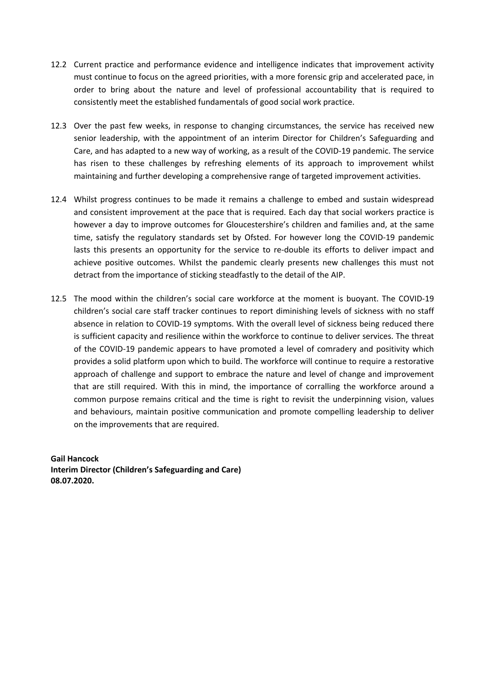- 12.2 Current practice and performance evidence and intelligence indicates that improvement activity must continue to focus on the agreed priorities, with a more forensic grip and accelerated pace, in order to bring about the nature and level of professional accountability that is required to consistently meet the established fundamentals of good social work practice.
- 12.3 Over the past few weeks, in response to changing circumstances, the service has received new senior leadership, with the appointment of an interim Director for Children's Safeguarding and Care, and has adapted to a new way of working, as a result of the COVID-19 pandemic. The service has risen to these challenges by refreshing elements of its approach to improvement whilst maintaining and further developing a comprehensive range of targeted improvement activities.
- 12.4 Whilst progress continues to be made it remains a challenge to embed and sustain widespread and consistent improvement at the pace that is required. Each day that social workers practice is however a day to improve outcomes for Gloucestershire's children and families and, at the same time, satisfy the regulatory standards set by Ofsted. For however long the COVID-19 pandemic lasts this presents an opportunity for the service to re-double its efforts to deliver impact and achieve positive outcomes. Whilst the pandemic clearly presents new challenges this must not detract from the importance of sticking steadfastly to the detail of the AIP.
- 12.5 The mood within the children's social care workforce at the moment is buoyant. The COVID-19 children's social care staff tracker continues to report diminishing levels of sickness with no staff absence in relation to COVID-19 symptoms. With the overall level of sickness being reduced there is sufficient capacity and resilience within the workforce to continue to deliver services. The threat of the COVID-19 pandemic appears to have promoted a level of comradery and positivity which provides a solid platform upon which to build. The workforce will continue to require a restorative approach of challenge and support to embrace the nature and level of change and improvement that are still required. With this in mind, the importance of corralling the workforce around a common purpose remains critical and the time is right to revisit the underpinning vision, values and behaviours, maintain positive communication and promote compelling leadership to deliver on the improvements that are required.

**Gail Hancock Interim Director (Children's Safeguarding and Care) 08.07.2020.**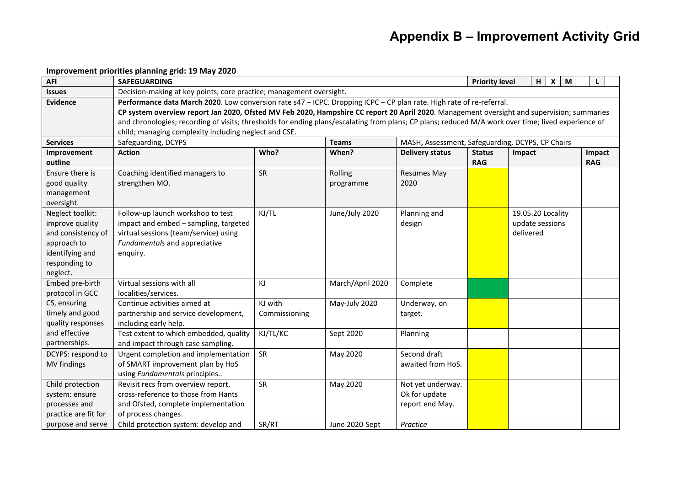| <b>AFI</b>           | <b>SAFEGUARDING</b>                                                                                                                                 |               |                  |                                                  | H<br>$\boldsymbol{\mathsf{x}}$<br>M<br><b>Priority level</b><br>L |                   |            |  |
|----------------------|-----------------------------------------------------------------------------------------------------------------------------------------------------|---------------|------------------|--------------------------------------------------|-------------------------------------------------------------------|-------------------|------------|--|
| <b>Issues</b>        | Decision-making at key points, core practice; management oversight.                                                                                 |               |                  |                                                  |                                                                   |                   |            |  |
| <b>Evidence</b>      | Performance data March 2020. Low conversion rate s47 - ICPC. Dropping ICPC - CP plan rate. High rate of re-referral.                                |               |                  |                                                  |                                                                   |                   |            |  |
|                      | CP system overview report Jan 2020, Ofsted MV Feb 2020, Hampshire CC report 20 April 2020. Management oversight and supervision; summaries          |               |                  |                                                  |                                                                   |                   |            |  |
|                      | and chronologies; recording of visits; thresholds for ending plans/escalating from plans; CP plans; reduced M/A work over time; lived experience of |               |                  |                                                  |                                                                   |                   |            |  |
|                      | child; managing complexity including neglect and CSE.                                                                                               |               |                  |                                                  |                                                                   |                   |            |  |
| <b>Services</b>      | Safeguarding, DCYPS                                                                                                                                 |               | <b>Teams</b>     | MASH, Assessment, Safeguarding, DCYPS, CP Chairs |                                                                   |                   |            |  |
| Improvement          | <b>Action</b>                                                                                                                                       | Who?          | When?            | <b>Delivery status</b>                           | <b>Status</b>                                                     | Impact            | Impact     |  |
| outline              |                                                                                                                                                     |               |                  |                                                  | <b>RAG</b>                                                        |                   | <b>RAG</b> |  |
| Ensure there is      | Coaching identified managers to                                                                                                                     | SR            | Rolling          | <b>Resumes May</b>                               |                                                                   |                   |            |  |
| good quality         | strengthen MO.                                                                                                                                      |               | programme        | 2020                                             |                                                                   |                   |            |  |
| management           |                                                                                                                                                     |               |                  |                                                  |                                                                   |                   |            |  |
| oversight.           |                                                                                                                                                     |               |                  |                                                  |                                                                   |                   |            |  |
| Neglect toolkit:     | Follow-up launch workshop to test                                                                                                                   | KJ/TL         | June/July 2020   | Planning and                                     |                                                                   | 19.05.20 Locality |            |  |
| improve quality      | impact and embed - sampling, targeted                                                                                                               |               |                  | design                                           |                                                                   | update sessions   |            |  |
| and consistency of   | virtual sessions (team/service) using                                                                                                               |               |                  |                                                  |                                                                   | delivered         |            |  |
| approach to          | Fundamentals and appreciative                                                                                                                       |               |                  |                                                  |                                                                   |                   |            |  |
| identifying and      | enquiry.                                                                                                                                            |               |                  |                                                  |                                                                   |                   |            |  |
| responding to        |                                                                                                                                                     |               |                  |                                                  |                                                                   |                   |            |  |
| neglect.             |                                                                                                                                                     |               |                  |                                                  |                                                                   |                   |            |  |
| Embed pre-birth      | Virtual sessions with all                                                                                                                           | KJ            | March/April 2020 | Complete                                         |                                                                   |                   |            |  |
| protocol in GCC      | localities/services.                                                                                                                                |               |                  |                                                  |                                                                   |                   |            |  |
| CS, ensuring         | Continue activities aimed at                                                                                                                        | KJ with       | May-July 2020    | Underway, on                                     |                                                                   |                   |            |  |
| timely and good      | partnership and service development,                                                                                                                | Commissioning |                  | target.                                          |                                                                   |                   |            |  |
| quality responses    | including early help.                                                                                                                               |               |                  |                                                  |                                                                   |                   |            |  |
| and effective        | Test extent to which embedded, quality                                                                                                              | KJ/TL/KC      | Sept 2020        | Planning                                         |                                                                   |                   |            |  |
| partnerships.        | and impact through case sampling.                                                                                                                   |               |                  |                                                  |                                                                   |                   |            |  |
| DCYPS: respond to    | Urgent completion and implementation                                                                                                                | SR            | May 2020         | Second draft                                     |                                                                   |                   |            |  |
| MV findings          | of SMART improvement plan by HoS                                                                                                                    |               |                  | awaited from HoS.                                |                                                                   |                   |            |  |
|                      | using Fundamentals principles                                                                                                                       |               |                  |                                                  |                                                                   |                   |            |  |
| Child protection     | Revisit recs from overview report,                                                                                                                  | SR            | May 2020         | Not yet underway.                                |                                                                   |                   |            |  |
| system: ensure       | cross-reference to those from Hants                                                                                                                 |               |                  | Ok for update                                    |                                                                   |                   |            |  |
| processes and        | and Ofsted, complete implementation                                                                                                                 |               |                  | report end May.                                  |                                                                   |                   |            |  |
| practice are fit for | of process changes.                                                                                                                                 |               |                  |                                                  |                                                                   |                   |            |  |
| purpose and serve    | Child protection system: develop and                                                                                                                | SR/RT         | June 2020-Sept   | Practice                                         |                                                                   |                   |            |  |

## **Improvement priorities planning grid: 19 May 2020**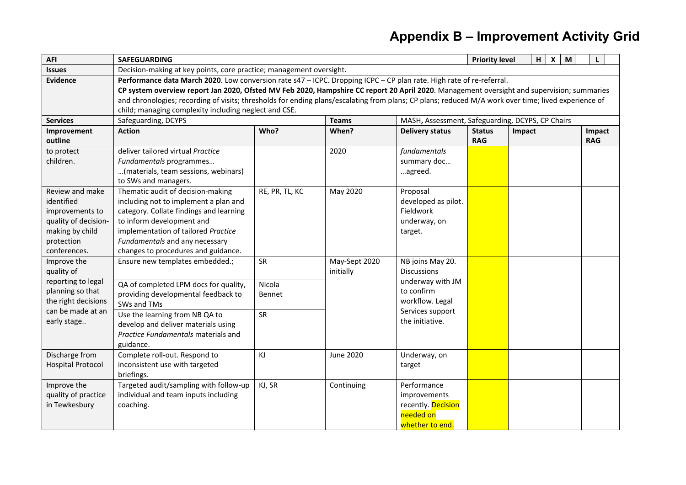| <b>AFI</b>                             | <b>SAFEGUARDING</b>                                                                                                                                 |                                                                                                                      |               |                                                    |               | H<br>$\boldsymbol{\mathsf{x}}$<br><b>Priority level</b><br>M<br>L |            |  |  |
|----------------------------------------|-----------------------------------------------------------------------------------------------------------------------------------------------------|----------------------------------------------------------------------------------------------------------------------|---------------|----------------------------------------------------|---------------|-------------------------------------------------------------------|------------|--|--|
| <b>Issues</b>                          | Decision-making at key points, core practice; management oversight.                                                                                 |                                                                                                                      |               |                                                    |               |                                                                   |            |  |  |
| <b>Evidence</b>                        |                                                                                                                                                     | Performance data March 2020. Low conversion rate s47 - ICPC. Dropping ICPC - CP plan rate. High rate of re-referral. |               |                                                    |               |                                                                   |            |  |  |
|                                        | CP system overview report Jan 2020, Ofsted MV Feb 2020, Hampshire CC report 20 April 2020. Management oversight and supervision; summaries          |                                                                                                                      |               |                                                    |               |                                                                   |            |  |  |
|                                        | and chronologies; recording of visits; thresholds for ending plans/escalating from plans; CP plans; reduced M/A work over time; lived experience of |                                                                                                                      |               |                                                    |               |                                                                   |            |  |  |
|                                        | child; managing complexity including neglect and CSE.                                                                                               |                                                                                                                      |               |                                                    |               |                                                                   |            |  |  |
| <b>Services</b>                        | Safeguarding, DCYPS                                                                                                                                 |                                                                                                                      | <b>Teams</b>  | MASH, Assessment, Safeguarding, DCYPS, CP Chairs   |               |                                                                   |            |  |  |
| Improvement                            | <b>Action</b>                                                                                                                                       | Who?                                                                                                                 | When?         | <b>Delivery status</b>                             | <b>Status</b> | Impact                                                            | Impact     |  |  |
| outline                                |                                                                                                                                                     |                                                                                                                      |               |                                                    | <b>RAG</b>    |                                                                   | <b>RAG</b> |  |  |
| to protect                             | deliver tailored virtual Practice                                                                                                                   |                                                                                                                      | 2020          | fundamentals                                       |               |                                                                   |            |  |  |
| children.                              | Fundamentals programmes                                                                                                                             |                                                                                                                      |               | summary doc                                        |               |                                                                   |            |  |  |
|                                        | (materials, team sessions, webinars)                                                                                                                |                                                                                                                      |               | agreed.                                            |               |                                                                   |            |  |  |
|                                        | to SWs and managers.                                                                                                                                |                                                                                                                      |               |                                                    |               |                                                                   |            |  |  |
| Review and make                        | Thematic audit of decision-making                                                                                                                   | RE, PR, TL, KC                                                                                                       | May 2020      | Proposal                                           |               |                                                                   |            |  |  |
| identified                             | including not to implement a plan and                                                                                                               |                                                                                                                      |               | developed as pilot.                                |               |                                                                   |            |  |  |
| improvements to                        | category. Collate findings and learning                                                                                                             |                                                                                                                      |               | Fieldwork                                          |               |                                                                   |            |  |  |
| quality of decision-                   | to inform development and                                                                                                                           |                                                                                                                      |               | underway, on                                       |               |                                                                   |            |  |  |
| making by child                        | implementation of tailored Practice                                                                                                                 |                                                                                                                      |               | target.                                            |               |                                                                   |            |  |  |
| protection                             | Fundamentals and any necessary                                                                                                                      |                                                                                                                      |               |                                                    |               |                                                                   |            |  |  |
| conferences.                           | changes to procedures and guidance.                                                                                                                 |                                                                                                                      |               |                                                    |               |                                                                   |            |  |  |
| Improve the                            | Ensure new templates embedded.;                                                                                                                     | SR                                                                                                                   | May-Sept 2020 | NB joins May 20.<br><b>Discussions</b>             |               |                                                                   |            |  |  |
| quality of                             |                                                                                                                                                     |                                                                                                                      | initially     | underway with JM                                   |               |                                                                   |            |  |  |
| reporting to legal<br>planning so that | QA of completed LPM docs for quality,                                                                                                               | Nicola                                                                                                               |               | to confirm                                         |               |                                                                   |            |  |  |
| the right decisions                    | providing developmental feedback to                                                                                                                 | Bennet                                                                                                               |               | workflow. Legal                                    |               |                                                                   |            |  |  |
| can be made at an                      | SWs and TMs                                                                                                                                         |                                                                                                                      |               | Services support                                   |               |                                                                   |            |  |  |
| early stage                            | Use the learning from NB QA to                                                                                                                      | SR                                                                                                                   |               | the initiative.                                    |               |                                                                   |            |  |  |
|                                        | develop and deliver materials using                                                                                                                 |                                                                                                                      |               |                                                    |               |                                                                   |            |  |  |
|                                        | Practice Fundamentals materials and                                                                                                                 |                                                                                                                      |               |                                                    |               |                                                                   |            |  |  |
|                                        | guidance.                                                                                                                                           |                                                                                                                      |               |                                                    |               |                                                                   |            |  |  |
| Discharge from                         | Complete roll-out. Respond to                                                                                                                       | KJ                                                                                                                   | June 2020     | Underway, on                                       |               |                                                                   |            |  |  |
| <b>Hospital Protocol</b>               | inconsistent use with targeted                                                                                                                      |                                                                                                                      |               | target                                             |               |                                                                   |            |  |  |
|                                        | briefings.                                                                                                                                          |                                                                                                                      |               | Performance                                        |               |                                                                   |            |  |  |
| Improve the                            | Targeted audit/sampling with follow-up                                                                                                              | KJ, SR                                                                                                               | Continuing    |                                                    |               |                                                                   |            |  |  |
| quality of practice                    | individual and team inputs including                                                                                                                |                                                                                                                      |               | improvements                                       |               |                                                                   |            |  |  |
|                                        |                                                                                                                                                     |                                                                                                                      |               |                                                    |               |                                                                   |            |  |  |
|                                        |                                                                                                                                                     |                                                                                                                      |               |                                                    |               |                                                                   |            |  |  |
| in Tewkesbury                          | coaching.                                                                                                                                           |                                                                                                                      |               | recently. Decision<br>needed on<br>whether to end. |               |                                                                   |            |  |  |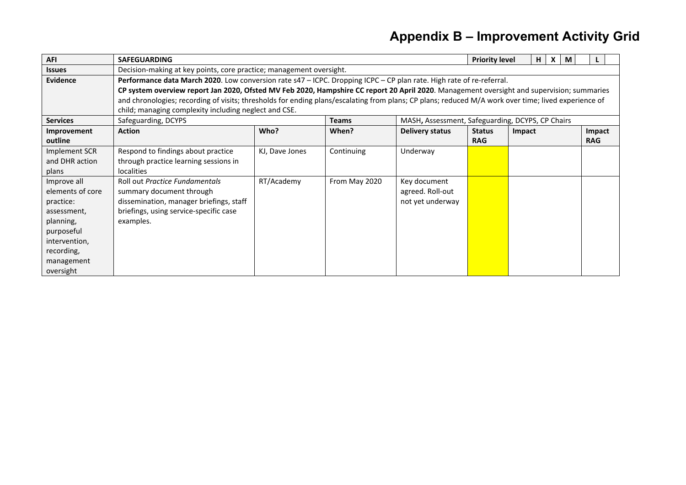| <b>AFI</b>       | <b>SAFEGUARDING</b>                                                                                                                                 |                |               |                                                  |               | <b>Priority level</b><br>H | X | M |            |  |
|------------------|-----------------------------------------------------------------------------------------------------------------------------------------------------|----------------|---------------|--------------------------------------------------|---------------|----------------------------|---|---|------------|--|
| <b>Issues</b>    | Decision-making at key points, core practice; management oversight.                                                                                 |                |               |                                                  |               |                            |   |   |            |  |
| <b>Evidence</b>  | Performance data March 2020. Low conversion rate s47 - ICPC. Dropping ICPC - CP plan rate. High rate of re-referral.                                |                |               |                                                  |               |                            |   |   |            |  |
|                  | CP system overview report Jan 2020, Ofsted MV Feb 2020, Hampshire CC report 20 April 2020. Management oversight and supervision; summaries          |                |               |                                                  |               |                            |   |   |            |  |
|                  | and chronologies; recording of visits; thresholds for ending plans/escalating from plans; CP plans; reduced M/A work over time; lived experience of |                |               |                                                  |               |                            |   |   |            |  |
|                  | child; managing complexity including neglect and CSE.                                                                                               |                |               |                                                  |               |                            |   |   |            |  |
| <b>Services</b>  | Safeguarding, DCYPS                                                                                                                                 |                | <b>Teams</b>  | MASH, Assessment, Safeguarding, DCYPS, CP Chairs |               |                            |   |   |            |  |
| Improvement      | <b>Action</b>                                                                                                                                       | Who?           | When?         | <b>Delivery status</b>                           | <b>Status</b> | Impact                     |   |   | Impact     |  |
| outline          |                                                                                                                                                     |                |               |                                                  | <b>RAG</b>    |                            |   |   | <b>RAG</b> |  |
| Implement SCR    | Respond to findings about practice                                                                                                                  | KJ, Dave Jones | Continuing    | Underway                                         |               |                            |   |   |            |  |
| and DHR action   | through practice learning sessions in                                                                                                               |                |               |                                                  |               |                            |   |   |            |  |
| plans            | <b>localities</b>                                                                                                                                   |                |               |                                                  |               |                            |   |   |            |  |
| Improve all      | Roll out Practice Fundamentals                                                                                                                      | RT/Academy     | From May 2020 | Key document                                     |               |                            |   |   |            |  |
| elements of core | summary document through                                                                                                                            |                |               | agreed. Roll-out                                 |               |                            |   |   |            |  |
| practice:        | dissemination, manager briefings, staff                                                                                                             |                |               | not yet underway                                 |               |                            |   |   |            |  |
| assessment,      | briefings, using service-specific case                                                                                                              |                |               |                                                  |               |                            |   |   |            |  |
| planning,        | examples.                                                                                                                                           |                |               |                                                  |               |                            |   |   |            |  |
| purposeful       |                                                                                                                                                     |                |               |                                                  |               |                            |   |   |            |  |
| intervention,    |                                                                                                                                                     |                |               |                                                  |               |                            |   |   |            |  |
| recording,       |                                                                                                                                                     |                |               |                                                  |               |                            |   |   |            |  |
| management       |                                                                                                                                                     |                |               |                                                  |               |                            |   |   |            |  |
| oversight        |                                                                                                                                                     |                |               |                                                  |               |                            |   |   |            |  |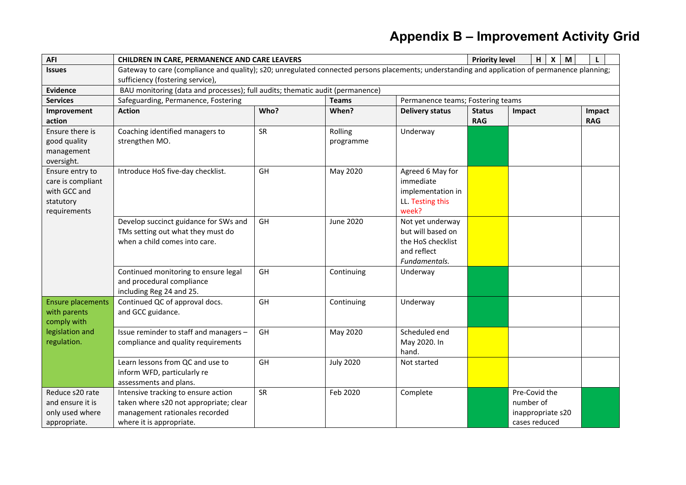| <b>AFI</b>                                                                        | CHILDREN IN CARE, PERMANENCE AND CARE LEAVERS                                                                                                  |      |                      |                                                                                            |               | H<br>$X \mid M$<br><b>Priority level</b><br>L                    |            |  |  |
|-----------------------------------------------------------------------------------|------------------------------------------------------------------------------------------------------------------------------------------------|------|----------------------|--------------------------------------------------------------------------------------------|---------------|------------------------------------------------------------------|------------|--|--|
| <b>Issues</b>                                                                     | Gateway to care (compliance and quality); s20; unregulated connected persons placements; understanding and application of permanence planning; |      |                      |                                                                                            |               |                                                                  |            |  |  |
|                                                                                   | sufficiency (fostering service),                                                                                                               |      |                      |                                                                                            |               |                                                                  |            |  |  |
| <b>Evidence</b>                                                                   | BAU monitoring (data and processes); full audits; thematic audit (permanence)                                                                  |      |                      |                                                                                            |               |                                                                  |            |  |  |
| <b>Services</b>                                                                   | Safeguarding, Permanence, Fostering                                                                                                            |      | <b>Teams</b>         | Permanence teams; Fostering teams                                                          |               |                                                                  |            |  |  |
| Improvement                                                                       | <b>Action</b>                                                                                                                                  | Who? | When?                | <b>Delivery status</b>                                                                     | <b>Status</b> | Impact                                                           | Impact     |  |  |
| action                                                                            |                                                                                                                                                |      |                      |                                                                                            | <b>RAG</b>    |                                                                  | <b>RAG</b> |  |  |
| Ensure there is<br>good quality<br>management<br>oversight.                       | Coaching identified managers to<br>strengthen MO.                                                                                              | SR   | Rolling<br>programme | Underway                                                                                   |               |                                                                  |            |  |  |
| Ensure entry to<br>care is compliant<br>with GCC and<br>statutory<br>requirements | Introduce HoS five-day checklist.                                                                                                              | GH   | May 2020             | Agreed 6 May for<br>immediate<br>implementation in<br>LL. Testing this<br>week?            |               |                                                                  |            |  |  |
|                                                                                   | Develop succinct guidance for SWs and<br>TMs setting out what they must do<br>when a child comes into care.                                    | GH   | June 2020            | Not yet underway<br>but will based on<br>the HoS checklist<br>and reflect<br>Fundamentals. |               |                                                                  |            |  |  |
|                                                                                   | Continued monitoring to ensure legal<br>and procedural compliance<br>including Reg 24 and 25.                                                  | GH   | Continuing           | Underway                                                                                   |               |                                                                  |            |  |  |
| <b>Ensure placements</b><br>with parents<br>comply with                           | Continued QC of approval docs.<br>and GCC guidance.                                                                                            | GH   | Continuing           | Underway                                                                                   |               |                                                                  |            |  |  |
| legislation and<br>regulation.                                                    | Issue reminder to staff and managers -<br>compliance and quality requirements                                                                  | GH   | May 2020             | Scheduled end<br>May 2020. In<br>hand.                                                     |               |                                                                  |            |  |  |
|                                                                                   | Learn lessons from QC and use to<br>inform WFD, particularly re<br>assessments and plans.                                                      | GH   | <b>July 2020</b>     | Not started                                                                                |               |                                                                  |            |  |  |
| Reduce s20 rate<br>and ensure it is<br>only used where<br>appropriate.            | Intensive tracking to ensure action<br>taken where s20 not appropriate; clear<br>management rationales recorded<br>where it is appropriate.    | SR   | Feb 2020             | Complete                                                                                   |               | Pre-Covid the<br>number of<br>inappropriate s20<br>cases reduced |            |  |  |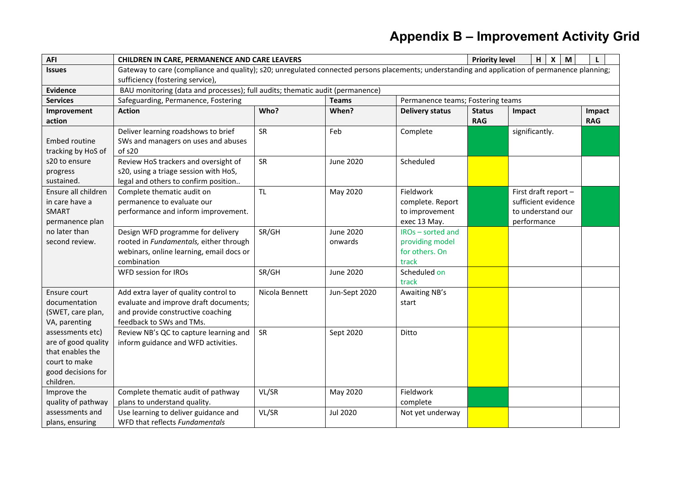| <b>AFI</b>          | CHILDREN IN CARE, PERMANENCE AND CARE LEAVERS                                                                                                  |                |                  |                                   |               | H<br>$\boldsymbol{\mathsf{x}}$<br><b>Priority level</b><br>M<br>L |            |  |  |  |
|---------------------|------------------------------------------------------------------------------------------------------------------------------------------------|----------------|------------------|-----------------------------------|---------------|-------------------------------------------------------------------|------------|--|--|--|
| <b>Issues</b>       | Gateway to care (compliance and quality); s20; unregulated connected persons placements; understanding and application of permanence planning; |                |                  |                                   |               |                                                                   |            |  |  |  |
|                     | sufficiency (fostering service),                                                                                                               |                |                  |                                   |               |                                                                   |            |  |  |  |
| <b>Evidence</b>     | BAU monitoring (data and processes); full audits; thematic audit (permanence)                                                                  |                |                  |                                   |               |                                                                   |            |  |  |  |
| <b>Services</b>     | Safeguarding, Permanence, Fostering                                                                                                            |                | <b>Teams</b>     | Permanence teams; Fostering teams |               |                                                                   |            |  |  |  |
| Improvement         | <b>Action</b>                                                                                                                                  | Who?           | When?            | <b>Delivery status</b>            | <b>Status</b> | Impact                                                            | Impact     |  |  |  |
| action              |                                                                                                                                                |                |                  |                                   | <b>RAG</b>    |                                                                   | <b>RAG</b> |  |  |  |
|                     | Deliver learning roadshows to brief                                                                                                            | SR             | Feb              | Complete                          |               | significantly.                                                    |            |  |  |  |
| Embed routine       | SWs and managers on uses and abuses                                                                                                            |                |                  |                                   |               |                                                                   |            |  |  |  |
| tracking by HoS of  | of s20                                                                                                                                         |                |                  |                                   |               |                                                                   |            |  |  |  |
| s20 to ensure       | Review HoS trackers and oversight of                                                                                                           | SR             | <b>June 2020</b> | Scheduled                         |               |                                                                   |            |  |  |  |
| progress            | s20, using a triage session with HoS,                                                                                                          |                |                  |                                   |               |                                                                   |            |  |  |  |
| sustained.          | legal and others to confirm position                                                                                                           |                |                  |                                   |               |                                                                   |            |  |  |  |
| Ensure all children | Complete thematic audit on                                                                                                                     | <b>TL</b>      | May 2020         | Fieldwork                         |               | First draft report -                                              |            |  |  |  |
| in care have a      | permanence to evaluate our                                                                                                                     |                |                  | complete. Report                  |               | sufficient evidence                                               |            |  |  |  |
| <b>SMART</b>        | performance and inform improvement.                                                                                                            |                |                  | to improvement                    |               | to understand our                                                 |            |  |  |  |
| permanence plan     |                                                                                                                                                |                |                  | exec 13 May.                      |               | performance                                                       |            |  |  |  |
| no later than       | Design WFD programme for delivery                                                                                                              | SR/GH          | <b>June 2020</b> | IROs - sorted and                 |               |                                                                   |            |  |  |  |
| second review.      | rooted in Fundamentals, either through                                                                                                         |                | onwards          | providing model                   |               |                                                                   |            |  |  |  |
|                     | webinars, online learning, email docs or                                                                                                       |                |                  | for others. On                    |               |                                                                   |            |  |  |  |
|                     | combination                                                                                                                                    |                |                  | track                             |               |                                                                   |            |  |  |  |
|                     | WFD session for IROs                                                                                                                           | SR/GH          | <b>June 2020</b> | Scheduled on                      |               |                                                                   |            |  |  |  |
|                     |                                                                                                                                                |                |                  | track                             |               |                                                                   |            |  |  |  |
| Ensure court        | Add extra layer of quality control to                                                                                                          | Nicola Bennett | Jun-Sept 2020    | Awaiting NB's                     |               |                                                                   |            |  |  |  |
| documentation       | evaluate and improve draft documents;                                                                                                          |                |                  | start                             |               |                                                                   |            |  |  |  |
| (SWET, care plan,   | and provide constructive coaching                                                                                                              |                |                  |                                   |               |                                                                   |            |  |  |  |
| VA, parenting       | feedback to SWs and TMs.                                                                                                                       |                |                  |                                   |               |                                                                   |            |  |  |  |
| assessments etc)    | Review NB's QC to capture learning and                                                                                                         | SR             | Sept 2020        | Ditto                             |               |                                                                   |            |  |  |  |
| are of good quality | inform guidance and WFD activities.                                                                                                            |                |                  |                                   |               |                                                                   |            |  |  |  |
| that enables the    |                                                                                                                                                |                |                  |                                   |               |                                                                   |            |  |  |  |
| court to make       |                                                                                                                                                |                |                  |                                   |               |                                                                   |            |  |  |  |
| good decisions for  |                                                                                                                                                |                |                  |                                   |               |                                                                   |            |  |  |  |
| children.           |                                                                                                                                                |                |                  |                                   |               |                                                                   |            |  |  |  |
| Improve the         | Complete thematic audit of pathway                                                                                                             | VL/SR          | May 2020         | Fieldwork                         |               |                                                                   |            |  |  |  |
| quality of pathway  | plans to understand quality.                                                                                                                   |                |                  | complete                          |               |                                                                   |            |  |  |  |
| assessments and     | Use learning to deliver guidance and                                                                                                           | VL/SR          | Jul 2020         | Not yet underway                  |               |                                                                   |            |  |  |  |
| plans, ensuring     | WFD that reflects Fundamentals                                                                                                                 |                |                  |                                   |               |                                                                   |            |  |  |  |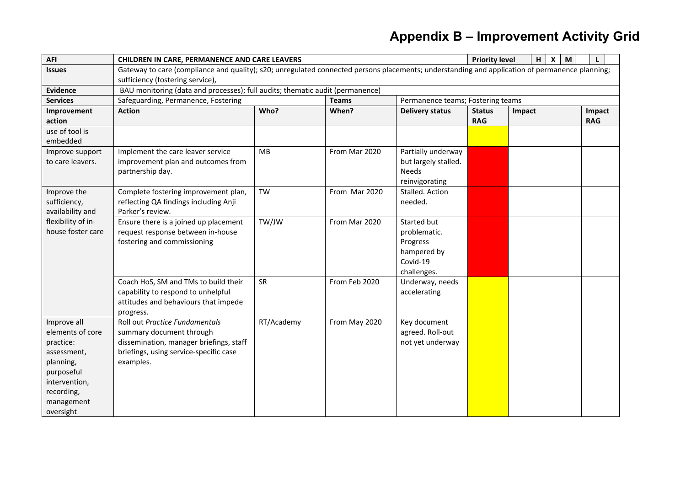| <b>AFI</b>                 | <b>CHILDREN IN CARE, PERMANENCE AND CARE LEAVERS</b>                                                                                           |            |               |                                   |               | <b>Priority level</b> | H<br>$\boldsymbol{\mathsf{X}}$<br>M | L          |  |
|----------------------------|------------------------------------------------------------------------------------------------------------------------------------------------|------------|---------------|-----------------------------------|---------------|-----------------------|-------------------------------------|------------|--|
| <b>Issues</b>              | Gateway to care (compliance and quality); s20; unregulated connected persons placements; understanding and application of permanence planning; |            |               |                                   |               |                       |                                     |            |  |
|                            | sufficiency (fostering service),                                                                                                               |            |               |                                   |               |                       |                                     |            |  |
| <b>Evidence</b>            | BAU monitoring (data and processes); full audits; thematic audit (permanence)                                                                  |            |               |                                   |               |                       |                                     |            |  |
| <b>Services</b>            | Safeguarding, Permanence, Fostering                                                                                                            |            | <b>Teams</b>  | Permanence teams; Fostering teams |               |                       |                                     |            |  |
| Improvement                | <b>Action</b>                                                                                                                                  | Who?       | When?         | <b>Delivery status</b>            | <b>Status</b> | Impact                |                                     | Impact     |  |
| action                     |                                                                                                                                                |            |               |                                   | <b>RAG</b>    |                       |                                     | <b>RAG</b> |  |
| use of tool is<br>embedded |                                                                                                                                                |            |               |                                   |               |                       |                                     |            |  |
| Improve support            | Implement the care leaver service                                                                                                              | <b>MB</b>  | From Mar 2020 | Partially underway                |               |                       |                                     |            |  |
| to care leavers.           | improvement plan and outcomes from                                                                                                             |            |               | but largely stalled.              |               |                       |                                     |            |  |
|                            | partnership day.                                                                                                                               |            |               | <b>Needs</b>                      |               |                       |                                     |            |  |
|                            |                                                                                                                                                |            |               | reinvigorating                    |               |                       |                                     |            |  |
| Improve the                | Complete fostering improvement plan,                                                                                                           | <b>TW</b>  | From Mar 2020 | Stalled. Action                   |               |                       |                                     |            |  |
| sufficiency,               | reflecting QA findings including Anji                                                                                                          |            |               | needed.                           |               |                       |                                     |            |  |
| availability and           | Parker's review.                                                                                                                               |            |               |                                   |               |                       |                                     |            |  |
| flexibility of in-         | Ensure there is a joined up placement                                                                                                          | TW/JW      | From Mar 2020 | Started but                       |               |                       |                                     |            |  |
| house foster care          | request response between in-house                                                                                                              |            |               | problematic.                      |               |                       |                                     |            |  |
|                            | fostering and commissioning                                                                                                                    |            |               | Progress                          |               |                       |                                     |            |  |
|                            |                                                                                                                                                |            |               | hampered by                       |               |                       |                                     |            |  |
|                            |                                                                                                                                                |            |               | Covid-19                          |               |                       |                                     |            |  |
|                            |                                                                                                                                                |            |               | challenges.                       |               |                       |                                     |            |  |
|                            | Coach HoS, SM and TMs to build their                                                                                                           | SR         | From Feb 2020 | Underway, needs                   |               |                       |                                     |            |  |
|                            | capability to respond to unhelpful                                                                                                             |            |               | accelerating                      |               |                       |                                     |            |  |
|                            | attitudes and behaviours that impede                                                                                                           |            |               |                                   |               |                       |                                     |            |  |
|                            | progress.                                                                                                                                      |            |               |                                   |               |                       |                                     |            |  |
| Improve all                | Roll out Practice Fundamentals                                                                                                                 | RT/Academy | From May 2020 | Key document                      |               |                       |                                     |            |  |
| elements of core           | summary document through                                                                                                                       |            |               | agreed. Roll-out                  |               |                       |                                     |            |  |
| practice:                  | dissemination, manager briefings, staff                                                                                                        |            |               | not yet underway                  |               |                       |                                     |            |  |
| assessment,                | briefings, using service-specific case                                                                                                         |            |               |                                   |               |                       |                                     |            |  |
| planning,                  | examples.                                                                                                                                      |            |               |                                   |               |                       |                                     |            |  |
| purposeful                 |                                                                                                                                                |            |               |                                   |               |                       |                                     |            |  |
| intervention,              |                                                                                                                                                |            |               |                                   |               |                       |                                     |            |  |
| recording,                 |                                                                                                                                                |            |               |                                   |               |                       |                                     |            |  |
|                            |                                                                                                                                                |            |               |                                   |               |                       |                                     |            |  |
| management<br>oversight    |                                                                                                                                                |            |               |                                   |               |                       |                                     |            |  |